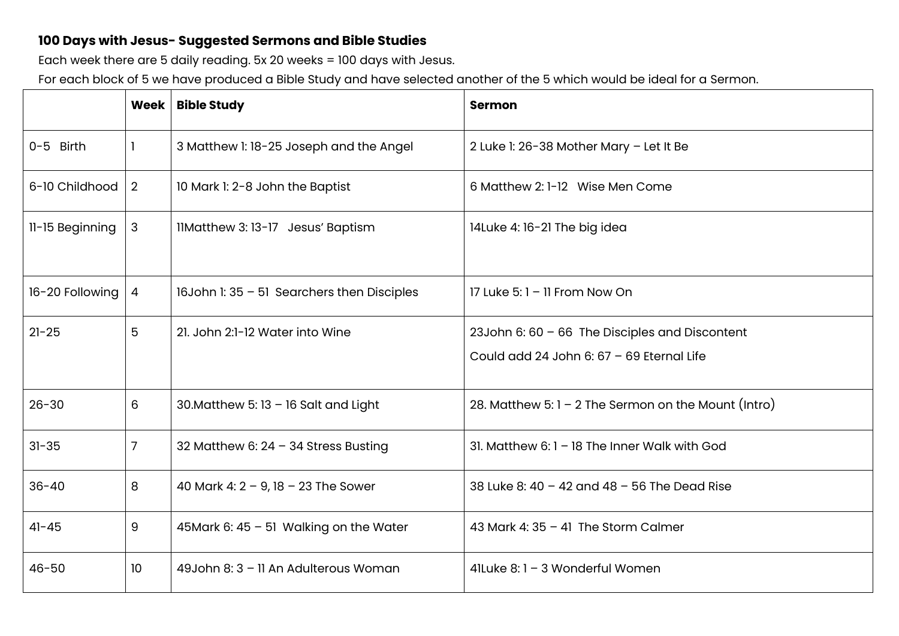## **100 Days with Jesus- Suggested Sermons and Bible Studies**

Each week there are 5 daily reading. 5x 20 weeks = 100 days with Jesus.

For each block of 5 we have produced a Bible Study and have selected another of the 5 which would be ideal for a Sermon.

|                 | Week           | <b>Bible Study</b>                         | <b>Sermon</b>                                                                                 |
|-----------------|----------------|--------------------------------------------|-----------------------------------------------------------------------------------------------|
| 0-5 Birth       |                | 3 Matthew 1: 18-25 Joseph and the Angel    | 2 Luke 1: 26-38 Mother Mary - Let It Be                                                       |
| 6-10 Childhood  | $\overline{2}$ | 10 Mark 1: 2-8 John the Baptist            | 6 Matthew 2: 1-12 Wise Men Come                                                               |
| 11-15 Beginning | 3              | IlMatthew 3: 13-17 Jesus' Baptism          | 14Luke 4: 16-21 The big idea                                                                  |
| 16-20 Following | $\overline{4}$ | 16John 1: 35 - 51 Searchers then Disciples | 17 Luke $5:1 - 11$ From Now On                                                                |
| $21 - 25$       | 5              | 21. John 2:1-12 Water into Wine            | 23John 6: $60 - 66$ The Disciples and Discontent<br>Could add 24 John 6: 67 - 69 Eternal Life |
| $26 - 30$       | 6              | 30. Matthew 5: $13 - 16$ Salt and Light    | 28. Matthew 5: $1 - 2$ The Sermon on the Mount (Intro)                                        |
| $31 - 35$       | $\overline{7}$ | 32 Matthew 6: $24 - 34$ Stress Busting     | 31. Matthew 6: 1 - 18 The Inner Walk with God                                                 |
| $36 - 40$       | 8              | 40 Mark 4: $2 - 9$ , $18 - 23$ The Sower   | 38 Luke 8: 40 - 42 and 48 - 56 The Dead Rise                                                  |
| $41 - 45$       | 9              | 45Mark 6: 45 - 51 Walking on the Water     | 43 Mark 4: $35 - 41$ The Storm Calmer                                                         |
| $46 - 50$       | 10             | 49John 8: 3 - 11 An Adulterous Woman       | 41Luke 8:1 - 3 Wonderful Women                                                                |